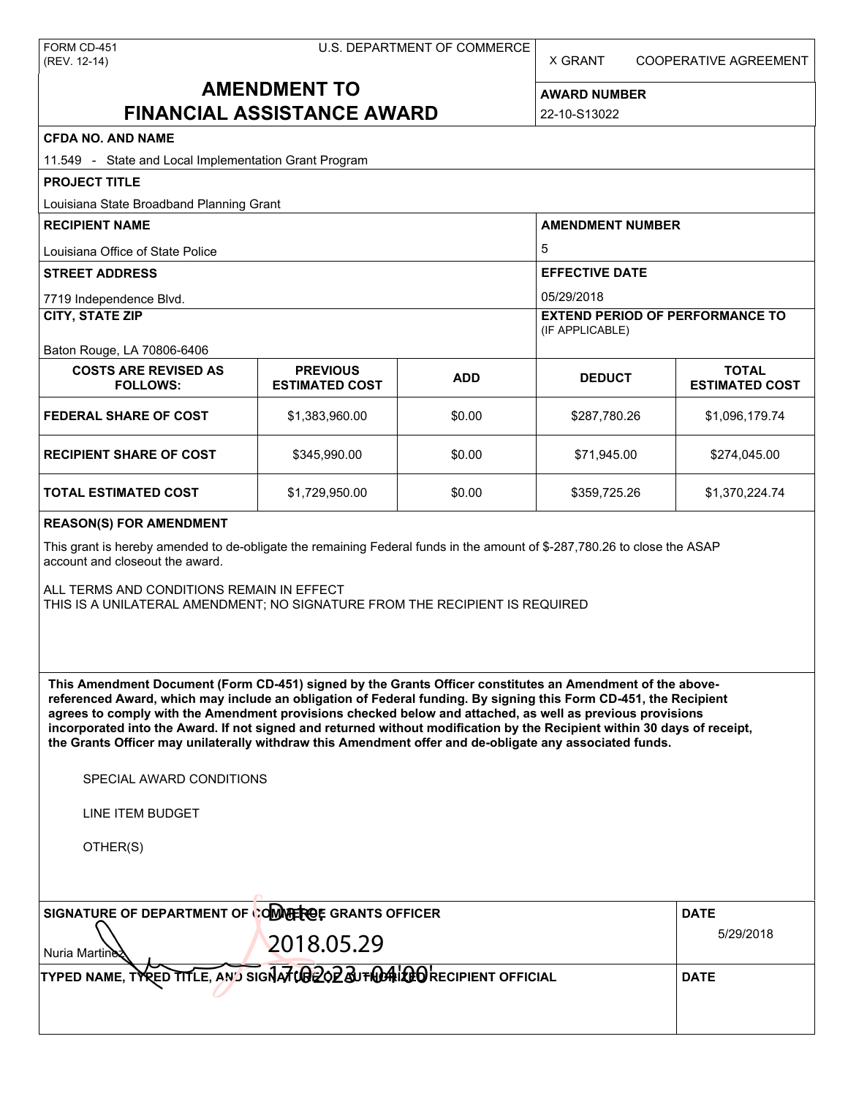X GRANT COOPERATIVE AGREEMENT

# **AMENDMENT TO FINANCIAL ASSISTANCE AWARD**

**AWARD NUMBER** 22-10-S13022

| <b>CFDA NO. AND NAME</b>                                                                                                                                                                                                                                                                                                                                                                                                                                                                                                                                                          |                                          |            |                                                                     |                                       |  |  |
|-----------------------------------------------------------------------------------------------------------------------------------------------------------------------------------------------------------------------------------------------------------------------------------------------------------------------------------------------------------------------------------------------------------------------------------------------------------------------------------------------------------------------------------------------------------------------------------|------------------------------------------|------------|---------------------------------------------------------------------|---------------------------------------|--|--|
| 11.549 - State and Local Implementation Grant Program                                                                                                                                                                                                                                                                                                                                                                                                                                                                                                                             |                                          |            |                                                                     |                                       |  |  |
| <b>PROJECT TITLE</b>                                                                                                                                                                                                                                                                                                                                                                                                                                                                                                                                                              |                                          |            |                                                                     |                                       |  |  |
| Louisiana State Broadband Planning Grant                                                                                                                                                                                                                                                                                                                                                                                                                                                                                                                                          |                                          |            |                                                                     |                                       |  |  |
| <b>RECIPIENT NAME</b>                                                                                                                                                                                                                                                                                                                                                                                                                                                                                                                                                             |                                          |            | <b>AMENDMENT NUMBER</b><br>5<br><b>EFFECTIVE DATE</b><br>05/29/2018 |                                       |  |  |
| Louisiana Office of State Police                                                                                                                                                                                                                                                                                                                                                                                                                                                                                                                                                  |                                          |            |                                                                     |                                       |  |  |
| <b>STREET ADDRESS</b>                                                                                                                                                                                                                                                                                                                                                                                                                                                                                                                                                             |                                          |            |                                                                     |                                       |  |  |
| 7719 Independence Blvd.                                                                                                                                                                                                                                                                                                                                                                                                                                                                                                                                                           |                                          |            |                                                                     |                                       |  |  |
| <b>CITY, STATE ZIP</b>                                                                                                                                                                                                                                                                                                                                                                                                                                                                                                                                                            |                                          |            | <b>EXTEND PERIOD OF PERFORMANCE TO</b><br>(IF APPLICABLE)           |                                       |  |  |
| Baton Rouge, LA 70806-6406                                                                                                                                                                                                                                                                                                                                                                                                                                                                                                                                                        |                                          |            |                                                                     |                                       |  |  |
| <b>COSTS ARE REVISED AS</b><br><b>FOLLOWS:</b>                                                                                                                                                                                                                                                                                                                                                                                                                                                                                                                                    | <b>PREVIOUS</b><br><b>ESTIMATED COST</b> | <b>ADD</b> | <b>DEDUCT</b>                                                       | <b>TOTAL</b><br><b>ESTIMATED COST</b> |  |  |
| <b>FEDERAL SHARE OF COST</b>                                                                                                                                                                                                                                                                                                                                                                                                                                                                                                                                                      | \$1,383,960.00                           | \$0.00     | \$287,780.26                                                        | \$1,096,179.74                        |  |  |
| <b>RECIPIENT SHARE OF COST</b>                                                                                                                                                                                                                                                                                                                                                                                                                                                                                                                                                    | \$345,990.00                             | \$0.00     | \$71,945.00                                                         | \$274,045.00                          |  |  |
| <b>TOTAL ESTIMATED COST</b>                                                                                                                                                                                                                                                                                                                                                                                                                                                                                                                                                       | \$1,729,950.00                           | \$0.00     | \$359,725.26                                                        | \$1,370,224.74                        |  |  |
| <b>REASON(S) FOR AMENDMENT</b>                                                                                                                                                                                                                                                                                                                                                                                                                                                                                                                                                    |                                          |            |                                                                     |                                       |  |  |
| This grant is hereby amended to de-obligate the remaining Federal funds in the amount of \$-287,780.26 to close the ASAP<br>account and closeout the award.                                                                                                                                                                                                                                                                                                                                                                                                                       |                                          |            |                                                                     |                                       |  |  |
| ALL TERMS AND CONDITIONS REMAIN IN EFFECT<br>THIS IS A UNILATERAL AMENDMENT; NO SIGNATURE FROM THE RECIPIENT IS REQUIRED                                                                                                                                                                                                                                                                                                                                                                                                                                                          |                                          |            |                                                                     |                                       |  |  |
| This Amendment Document (Form CD-451) signed by the Grants Officer constitutes an Amendment of the above-<br>referenced Award, which may include an obligation of Federal funding. By signing this Form CD-451, the Recipient<br>agrees to comply with the Amendment provisions checked below and attached, as well as previous provisions<br>incorporated into the Award. If not signed and returned without modification by the Recipient within 30 days of receipt,<br>the Grants Officer may unilaterally withdraw this Amendment offer and de-obligate any associated funds. |                                          |            |                                                                     |                                       |  |  |
| SPECIAL AWARD CONDITIONS                                                                                                                                                                                                                                                                                                                                                                                                                                                                                                                                                          |                                          |            |                                                                     |                                       |  |  |
| <b>LINE ITEM BUDGET</b>                                                                                                                                                                                                                                                                                                                                                                                                                                                                                                                                                           |                                          |            |                                                                     |                                       |  |  |
| OTHER(S)                                                                                                                                                                                                                                                                                                                                                                                                                                                                                                                                                                          |                                          |            |                                                                     |                                       |  |  |
|                                                                                                                                                                                                                                                                                                                                                                                                                                                                                                                                                                                   |                                          |            |                                                                     |                                       |  |  |
| SIGNATURE OF DEPARTMENT OF COMPRECE GRANTS OFFICER                                                                                                                                                                                                                                                                                                                                                                                                                                                                                                                                |                                          |            |                                                                     | <b>DATE</b>                           |  |  |
| 2018.05.29                                                                                                                                                                                                                                                                                                                                                                                                                                                                                                                                                                        |                                          |            |                                                                     | 5/29/2018                             |  |  |
| Nuria Martine<br>TYPED NAME, TYRED TITLE, AND SIGNATUBE OF SUTING LOOKECIPIENT OFFICIAL                                                                                                                                                                                                                                                                                                                                                                                                                                                                                           |                                          |            |                                                                     | <b>DATE</b>                           |  |  |
|                                                                                                                                                                                                                                                                                                                                                                                                                                                                                                                                                                                   |                                          |            |                                                                     |                                       |  |  |